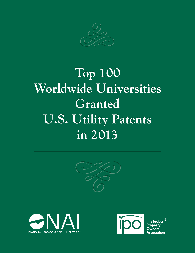

## **Top 100 Top 100 Worldwide Universities Worldwide Universities Granted Granted U.S. Utility Patents U.S. Utility Patents in 2013 in 2013**







Intellectual  $^\circledR$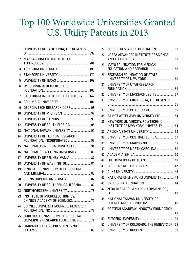## Top 100 Worldwide Universities Granted U.S. Utility Patents in 2013

| 1  | UNIVERSITY OF CALIFORNIA, THE REGENTS                                      |  |
|----|----------------------------------------------------------------------------|--|
| 2  | MASSACHUSETTS INSTITUTE OF                                                 |  |
|    |                                                                            |  |
| 3  |                                                                            |  |
| 4  |                                                                            |  |
| 5  |                                                                            |  |
| 6  | WISCONSIN ALUMNI RESEARCH                                                  |  |
| 7  | CALIFORNIA INSTITUTE OF TECHNOLOGY  147                                    |  |
| 8  |                                                                            |  |
| 9  | GEORGIA TECH RESEARCH CORP.  98                                            |  |
| 10 |                                                                            |  |
| 11 |                                                                            |  |
| 12 | UNIVERSITY OF SOUTH FLORIDA  95                                            |  |
| 12 |                                                                            |  |
| 14 | UNIVERSITY OF FLORIDA RESEARCH                                             |  |
| 15 | NATIONAL TSING HUA UNIVERSITY 91                                           |  |
| 16 | NATIONAL CHIAO TUNG UNIVERSITY 89                                          |  |
| 17 | UNIVERSITY OF PENNSYLVANIA 87                                              |  |
| 18 | UNIVERSITY OF WASHINGTON 84                                                |  |
| 19 | KING FAHD UNIVERSITY OF PETROLEUM                                          |  |
| 20 |                                                                            |  |
| 20 | UNIVERSITY OF SOUTHERN CALIFORNIA82                                        |  |
| 22 |                                                                            |  |
| 23 | INSTITUTE OF MICROELECTRONICS,<br>CHINESE ACADEMY OF SCIENCES 75           |  |
| 24 | CORNELL UNIVERSITY/CORNELL RESEARCH                                        |  |
| 25 | OHIO STATE UNIVERSITY/THE OHIO STATE<br>UNIVERSITY RESEARCH FOUNDATION  71 |  |
| 26 | HARVARD COLLEGE, PRESIDENT AND                                             |  |

| 27 | PURDUE RESEARCH FOUNDATION  63                            |  |
|----|-----------------------------------------------------------|--|
| 27 | KOREA ADVANCED INSTITUTE OF SCIENCE                       |  |
| 29 | MAYO FOUNDATION FOR MEDICAL<br>EDUCATION AND RESEARCH  60 |  |
| 29 | RESEARCH FOUNDATION OF STATE                              |  |
| 31 | UNIVERSITY OF UTAH RESEARCH                               |  |
| 32 | UNIVERSITY OF MASSACHUSETTS  57                           |  |
| 33 | UNIVERSITY OF MINNESOTA, THE REGENTS                      |  |
| 33 |                                                           |  |
| 35 | RAMOT AT TEL AVIV UNIVERSITY LTD.  54                     |  |
| 35 | NEW YORK UNIVERSITY/POLYTECHNIC                           |  |
|    | <b>INSTITUTE OF NEW YORK UNIVERSITY  54</b>               |  |
| 37 | ARIZONA STATE UNIVERSITY 53                               |  |
| 38 | UNIVERSITY OF CENTRAL FLORIDA  51                         |  |
| 38 |                                                           |  |
| 40 | UNIVERSITY OF NORTH CAROLINA 50                           |  |
| 40 |                                                           |  |
| 42 |                                                           |  |
| 43 |                                                           |  |
| 44 |                                                           |  |
| 45 | NATIONAL CHENG KUNG UNIVERSITY  44                        |  |
| 45 |                                                           |  |
| 47 | YEDA RESEARCH AND DEVELOPMENT CO.,                        |  |
| 48 | NATIONAL TAIWAN UNIVERSITY OF                             |  |
| 49 | POSTECH ACADEMY-INDUSTRY FOUNDATION                       |  |
| 50 |                                                           |  |
| 50 | UNIVERSITY OF COLORADO, THE REGENTS OF39                  |  |
| 50 |                                                           |  |